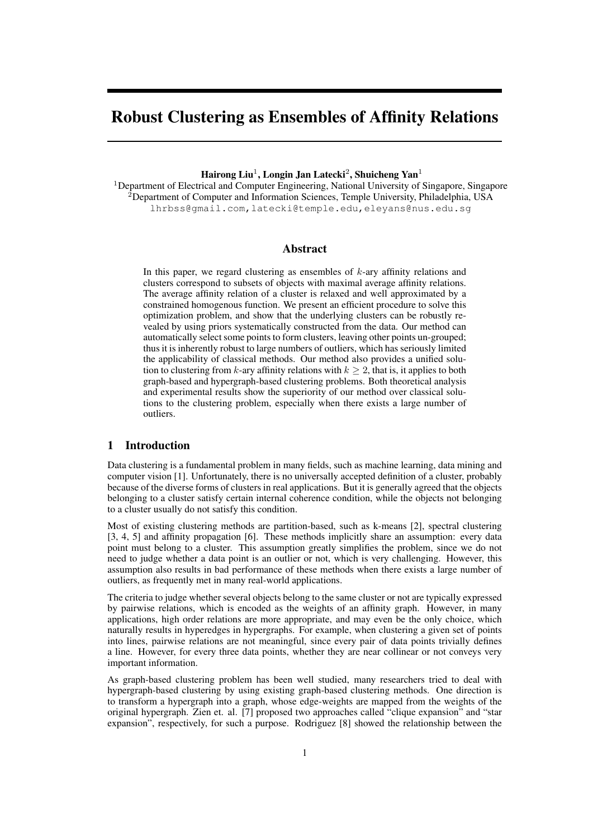# Robust Clustering as Ensembles of Affinity Relations

# Hairong Liu<sup>1</sup>, Longin Jan Latecki<sup>2</sup>, Shuicheng Yan<sup>1</sup>

<sup>1</sup>Department of Electrical and Computer Engineering, National University of Singapore, Singapore  $2$ Department of Computer and Information Sciences, Temple University, Philadelphia, USA lhrbss@gmail.com,latecki@temple.edu,eleyans@nus.edu.sg

# **Abstract**

In this paper, we regard clustering as ensembles of *k*-ary affinity relations and clusters correspond to subsets of objects with maximal average affinity relations. The average affinity relation of a cluster is relaxed and well approximated by a constrained homogenous function. We present an efficient procedure to solve this optimization problem, and show that the underlying clusters can be robustly revealed by using priors systematically constructed from the data. Our method can automatically select some points to form clusters, leaving other points un-grouped; thus it is inherently robust to large numbers of outliers, which has seriously limited the applicability of classical methods. Our method also provides a unified solution to clustering from *k*-ary affinity relations with  $k \geq 2$ , that is, it applies to both graph-based and hypergraph-based clustering problems. Both theoretical analysis and experimental results show the superiority of our method over classical solutions to the clustering problem, especially when there exists a large number of outliers.

# 1 Introduction

Data clustering is a fundamental problem in many fields, such as machine learning, data mining and computer vision [1]. Unfortunately, there is no universally accepted definition of a cluster, probably because of the diverse forms of clusters in real applications. But it is generally agreed that the objects belonging to a cluster satisfy certain internal coherence condition, while the objects not belonging to a cluster usually do not satisfy this condition.

Most of existing clustering methods are partition-based, such as k-means [2], spectral clustering [3, 4, 5] and affinity propagation [6]. These methods implicitly share an assumption: every data point must belong to a cluster. This assumption greatly simplifies the problem, since we do not need to judge whether a data point is an outlier or not, which is very challenging. However, this assumption also results in bad performance of these methods when there exists a large number of outliers, as frequently met in many real-world applications.

The criteria to judge whether several objects belong to the same cluster or not are typically expressed by pairwise relations, which is encoded as the weights of an affinity graph. However, in many applications, high order relations are more appropriate, and may even be the only choice, which naturally results in hyperedges in hypergraphs. For example, when clustering a given set of points into lines, pairwise relations are not meaningful, since every pair of data points trivially defines a line. However, for every three data points, whether they are near collinear or not conveys very important information.

As graph-based clustering problem has been well studied, many researchers tried to deal with hypergraph-based clustering by using existing graph-based clustering methods. One direction is to transform a hypergraph into a graph, whose edge-weights are mapped from the weights of the original hypergraph. Zien et. al. [7] proposed two approaches called "clique expansion" and "star expansion", respectively, for such a purpose. Rodriguez [8] showed the relationship between the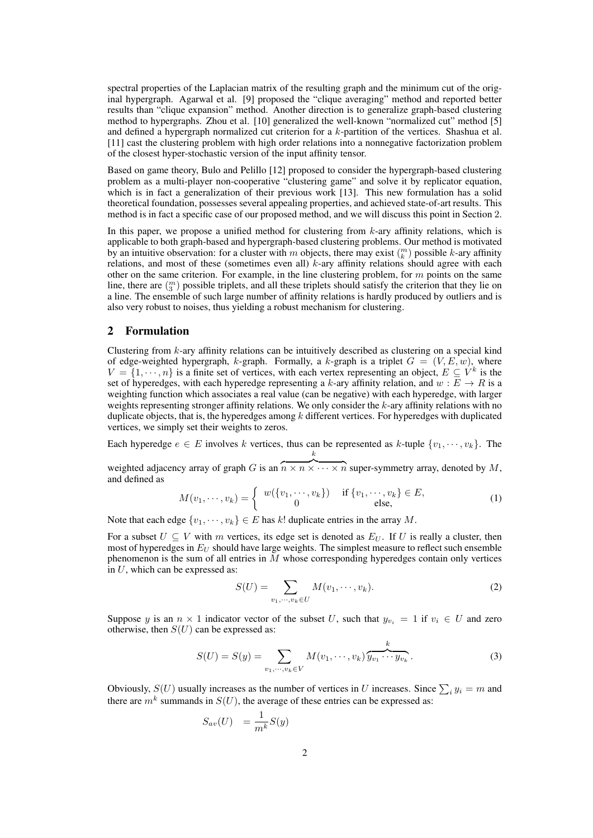spectral properties of the Laplacian matrix of the resulting graph and the minimum cut of the original hypergraph. Agarwal et al. [9] proposed the "clique averaging" method and reported better results than "clique expansion" method. Another direction is to generalize graph-based clustering method to hypergraphs. Zhou et al. [10] generalized the well-known "normalized cut" method [5] and defined a hypergraph normalized cut criterion for a *k*-partition of the vertices. Shashua et al. [11] cast the clustering problem with high order relations into a nonnegative factorization problem of the closest hyper-stochastic version of the input affinity tensor.

Based on game theory, Bulo and Pelillo [12] proposed to consider the hypergraph-based clustering problem as a multi-player non-cooperative "clustering game" and solve it by replicator equation, which is in fact a generalization of their previous work [13]. This new formulation has a solid theoretical foundation, possesses several appealing properties, and achieved state-of-art results. This method is in fact a specific case of our proposed method, and we will discuss this point in Section 2.

In this paper, we propose a unified method for clustering from *k*-ary affinity relations, which is applicable to both graph-based and hypergraph-based clustering problems. Our method is motivated by an intuitive observation: for a cluster with *m* objects, there may exist  $\binom{m}{k}$  possible *k*-ary affinity relations, and most of these (sometimes even all) *k*-ary affinity relations should agree with each other on the same criterion. For example, in the line clustering problem, for *m* points on the same line, there are  $\binom{m}{3}$  possible triplets, and all these triplets should satisfy the criterion that they lie on a line. The ensemble of such large number of affinity relations is hardly produced by outliers and is also very robust to noises, thus yielding a robust mechanism for clustering.

# 2 Formulation

Clustering from *k*-ary affinity relations can be intuitively described as clustering on a special kind of edge-weighted hypergraph, *k*-graph. Formally, a *k*-graph is a triplet  $G = (V, E, w)$ , where  $V = \{1, \dots, n\}$  is a finite set of vertices, with each vertex representing an object,  $E \subseteq V^k$  is the set of hyperedges, with each hyperedge representing a  $k$ -ary affinity relation, and  $w : E \to R$  is a weighting function which associates a real value (can be negative) with each hyperedge, with larger weights representing stronger affinity relations. We only consider the *k*-ary affinity relations with no duplicate objects, that is, the hyperedges among *k* different vertices. For hyperedges with duplicated vertices, we simply set their weights to zeros.

Each hyperedge  $e \in E$  involves *k* vertices, thus can be represented as *k*-tuple  $\{v_1, \dots, v_k\}$ . The *k*

weighted adjacency array of graph *G* is an  $\overbrace{n \times n \times \cdots \times n}$  super-symmetry array, denoted by *M*, and defined as

$$
M(v_1, \dots, v_k) = \begin{cases} w(\{v_1, \dots, v_k\}) & \text{if } \{v_1, \dots, v_k\} \in E, \\ 0 & \text{else,} \end{cases}
$$
 (1)

Note that each edge  $\{v_1, \dots, v_k\} \in E$  has *k*! duplicate entries in the array *M*.

For a subset  $U \subseteq V$  with  $m$  vertices, its edge set is denoted as  $E_U$ . If  $U$  is really a cluster, then most of hyperedges in *E<sup>U</sup>* should have large weights. The simplest measure to reflect such ensemble phenomenon is the sum of all entries in *M* whose corresponding hyperedges contain only vertices in *U*, which can be expressed as:

$$
S(U) = \sum_{v_1, \cdots, v_k \in U} M(v_1, \cdots, v_k).
$$
 (2)

Suppose *y* is an  $n \times 1$  indicator vector of the subset *U*, such that  $y_{v_i} = 1$  if  $v_i \in U$  and zero otherwise, then  $S(U)$  can be expressed as:

$$
S(U) = S(y) = \sum_{v_1, \cdots, v_k \in V} M(v_1, \cdots, v_k) \overbrace{y_{v_1} \cdots y_{v_k}}^k.
$$
 (3)

Obviously,  $S(U)$  usually increases as the number of vertices in *U* increases. Since  $\sum_i y_i = m$  and there are  $m^k$  summands in  $S(U)$ , the average of these entries can be expressed as:

$$
S_{av}(U) = \frac{1}{m^k} S(y)
$$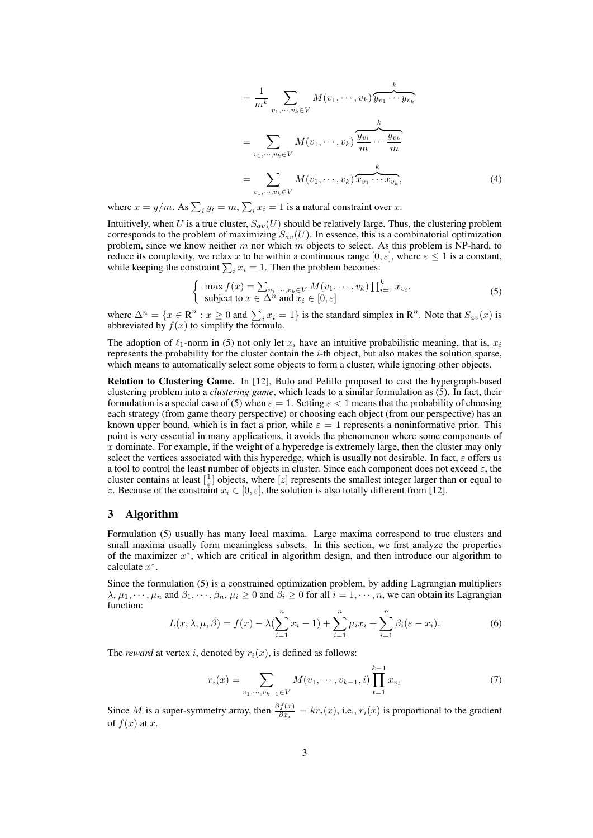$$
= \frac{1}{m^k} \sum_{v_1, \dots, v_k \in V} M(v_1, \dots, v_k) \overbrace{y_{v_1} \cdots y_{v_k}}^k
$$
  

$$
= \sum_{v_1, \dots, v_k \in V} M(v_1, \dots, v_k) \overbrace{\frac{y_{v_1}}{m} \cdots \frac{y_{v_k}}{m}}^k
$$
  

$$
= \sum_{v_1, \dots, v_k \in V} M(v_1, \dots, v_k) \overbrace{x_{v_1} \cdots x_{v_k}}^k,
$$
 (4)

where  $x = y/m$ . As  $\sum_i y_i = m$ ,  $\sum_i x_i = 1$  is a natural constraint over *x*.

Intuitively, when *U* is a true cluster,  $S_{av}(U)$  should be relatively large. Thus, the clustering problem corresponds to the problem of maximizing  $S_{av}(U)$ . In essence, this is a combinatorial optimization problem, since we know neither *m* nor which *m* objects to select. As this problem is NP-hard, to reduce its complexity, we relax *x* to be within a continuous range  $[0, \varepsilon]$ , where  $\varepsilon \leq 1$  is a constant, while keeping the constraint  $\sum_i x_i = 1$ . Then the problem becomes:

$$
\begin{cases} \max f(x) = \sum_{v_1, \dots, v_k \in V} M(v_1, \dots, v_k) \prod_{i=1}^k x_{v_i}, \\ \text{subject to } x \in \Delta^n \text{ and } x_i \in [0, \varepsilon] \end{cases}
$$
 (5)

where  $\Delta^n = \{x \in \mathbb{R}^n : x \ge 0 \text{ and } \sum_i x_i = 1\}$  is the standard simplex in  $\mathbb{R}^n$ . Note that  $S_{av}(x)$  is abbreviated by  $f(x)$  to simplify the formula.

The adoption of  $\ell_1$ -norm in (5) not only let  $x_i$  have an intuitive probabilistic meaning, that is,  $x_i$ represents the probability for the cluster contain the *i*-th object, but also makes the solution sparse, which means to automatically select some objects to form a cluster, while ignoring other objects.

Relation to Clustering Game. In [12], Bulo and Pelillo proposed to cast the hypergraph-based clustering problem into a *clustering game*, which leads to a similar formulation as (5). In fact, their formulation is a special case of (5) when  $\varepsilon = 1$ . Setting  $\varepsilon < 1$  means that the probability of choosing each strategy (from game theory perspective) or choosing each object (from our perspective) has an known upper bound, which is in fact a prior, while  $\varepsilon = 1$  represents a noninformative prior. This point is very essential in many applications, it avoids the phenomenon where some components of *x* dominate. For example, if the weight of a hyperedge is extremely large, then the cluster may only select the vertices associated with this hyperedge, which is usually not desirable. In fact, *ε* offers us a tool to control the least number of objects in cluster. Since each component does not exceed *ε*, the cluster contains at least  $[\frac{1}{\epsilon}]$  objects, where [*z*] represents the smallest integer larger than or equal to *z*. Because of the constraint  $x_i \in [0, \varepsilon]$ , the solution is also totally different from [12].

# 3 Algorithm

Formulation (5) usually has many local maxima. Large maxima correspond to true clusters and small maxima usually form meaningless subsets. In this section, we first analyze the properties of the maximizer *x ∗* , which are critical in algorithm design, and then introduce our algorithm to calculate *x ∗* .

Since the formulation (5) is a constrained optimization problem, by adding Lagrangian multipliers  $\lambda, \mu_1, \dots, \mu_n$  and  $\beta_1, \dots, \beta_n, \mu_i \ge 0$  and  $\beta_i \ge 0$  for all  $i = 1, \dots, n$ , we can obtain its Lagrangian function:

$$
L(x, \lambda, \mu, \beta) = f(x) - \lambda \left( \sum_{i=1}^{n} x_i - 1 \right) + \sum_{i=1}^{n} \mu_i x_i + \sum_{i=1}^{n} \beta_i (\varepsilon - x_i).
$$
 (6)

The *reward* at vertex *i*, denoted by  $r_i(x)$ , is defined as follows:

$$
r_i(x) = \sum_{v_1, \dots, v_{k-1} \in V} M(v_1, \dots, v_{k-1}, i) \prod_{t=1}^{k-1} x_{v_t}
$$
 (7)

Since *M* is a super-symmetry array, then  $\frac{\partial f(x)}{\partial x_i} = kr_i(x)$ , i.e.,  $r_i(x)$  is proportional to the gradient of  $f(x)$  at  $x$ .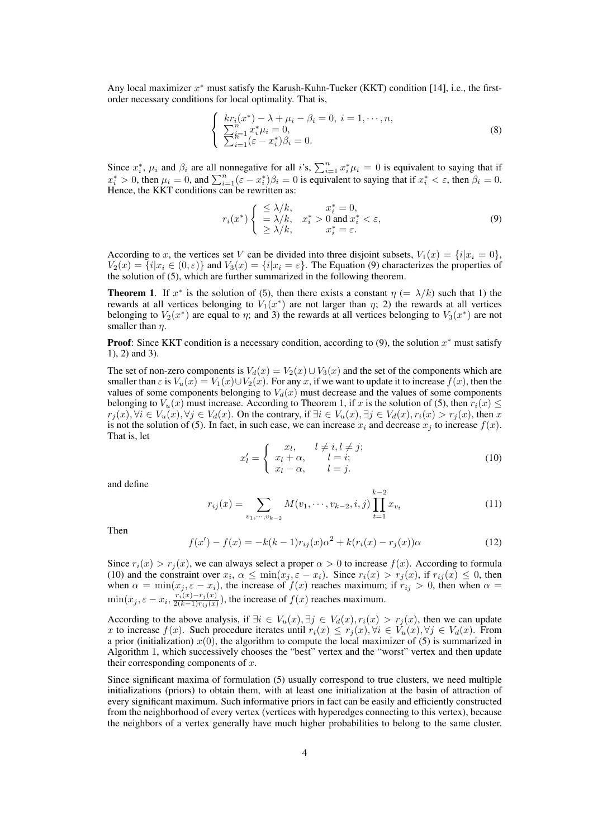Any local maximizer *x <sup>∗</sup>* must satisfy the Karush-Kuhn-Tucker (KKT) condition [14], i.e., the firstorder necessary conditions for local optimality. That is,

$$
\begin{cases}\nkr_i(x^*) - \lambda + \mu_i - \beta_i = 0, \ i = 1, \cdots, n, \\
\sum_{i=1}^n x_i^* \mu_i = 0, \\
\sum_{i=1}^n (\varepsilon - x_i^*) \beta_i = 0.\n\end{cases}
$$
\n(8)

Since  $x_i^*$ ,  $\mu_i$  and  $\beta_i$  are all nonnegative for all *i*'s,  $\sum_{i=1}^n x_i^* \mu_i = 0$  is equivalent to saying that if  $x_i^* > 0$ , then  $\mu_i = 0$ , and  $\sum_{i=1}^n (\varepsilon - x_i^*) \beta_i = 0$  is equivalent to saying that if  $x_i^* < \varepsilon$ , then  $\beta_i = 0$ . Hence, the KKT conditions can be rewritten as:

$$
r_i(x^*)\begin{cases} \leq \lambda/k, & x_i^* = 0, \\ = \lambda/k, & x_i^* > 0 \text{ and } x_i^* < \varepsilon, \\ \geq \lambda/k, & x_i^* = \varepsilon. \end{cases}
$$
(9)

According to *x*, the vertices set *V* can be divided into three disjoint subsets,  $V_1(x) = \{i | x_i = 0\}$ ,  $V_2(x) = \{i | x_i \in (0, \varepsilon)\}\$ and  $V_3(x) = \{i | x_i = \varepsilon\}$ . The Equation (9) characterizes the properties of the solution of (5), which are further summarized in the following theorem.

**Theorem 1.** If  $x^*$  is the solution of (5), then there exists a constant  $\eta$  (=  $\lambda/k$ ) such that 1) the rewards at all vertices belonging to  $V_1(x^*)$  are not larger than  $\eta$ ; 2) the rewards at all vertices belonging to  $V_2(x^*)$  are equal to  $\eta$ ; and 3) the rewards at all vertices belonging to  $V_3(x^*)$  are not smaller than *η*.

Proof: Since KKT condition is a necessary condition, according to (9), the solution *x <sup>∗</sup>* must satisfy 1), 2) and 3).

The set of non-zero components is  $V_d(x) = V_2(x) \cup V_3(x)$  and the set of the components which are smaller than  $\varepsilon$  is  $V_u(x) = V_1(x) \cup V_2(x)$ . For any *x*, if we want to update it to increase  $f(x)$ , then the values of some components belonging to  $V<sub>d</sub>(x)$  must decrease and the values of some components belonging to  $V_u(x)$  must increase. According to Theorem 1, if *x* is the solution of (5), then  $r_i(x) \leq$  $r_j(x)$ ,  $\forall i \in V_u(x)$ ,  $\forall j \in V_d(x)$ . On the contrary, if  $\exists i \in V_u(x)$ ,  $\exists j \in V_d(x)$ ,  $r_i(x) > r_j(x)$ , then x is not the solution of (5). In fact, in such case, we can increase  $x_i$  and decrease  $x_j$  to increase  $f(x)$ . That is, let

$$
x'_{l} = \begin{cases} x_{l}, & l \neq i, l \neq j; \\ x_{l} + \alpha, & l = i; \\ x_{l} - \alpha, & l = j. \end{cases}
$$
 (10)

and define

$$
r_{ij}(x) = \sum_{v_1, \dots, v_{k-2}} M(v_1, \dots, v_{k-2}, i, j) \prod_{t=1}^{k-2} x_{v_t}
$$
 (11)

Then

$$
f(x') - f(x) = -k(k-1)r_{ij}(x)\alpha^2 + k(r_i(x) - r_j(x))\alpha
$$
 (12)

Since  $r_i(x) > r_j(x)$ , we can always select a proper  $\alpha > 0$  to increase  $f(x)$ . According to formula (10) and the constraint over  $x_i$ ,  $\alpha \le \min(x_j, \varepsilon - x_i)$ . Since  $r_i(x) > r_j(x)$ , if  $r_{ij}(x) \le 0$ , then when  $\alpha = \min(x_j, \varepsilon - x_i)$ , the increase of  $f(x)$  reaches maximum; if  $r_{ij} > 0$ , then when  $\alpha =$  $\min(x_j, \varepsilon - x_i, \frac{r_i(x) - r_j(x)}{2(k-1)r_{ii}(x)}$  $\frac{r_i(x)-r_j(x)}{2(k-1)r_{ij}(x)}$ , the increase of  $f(x)$  reaches maximum.

According to the above analysis, if  $\exists i \in V_u(x), \exists j \in V_d(x), r_i(x) > r_j(x)$ , then we can update x to increase  $f(x)$ . Such procedure iterates until  $r_i(x) \le r_j(x)$ ,  $\forall i \in V_u(x)$ ,  $\forall j \in V_d(x)$ . From a prior (initialization)  $x(0)$ , the algorithm to compute the local maximizer of (5) is summarized in Algorithm 1, which successively chooses the "best" vertex and the "worst" vertex and then update their corresponding components of *x*.

Since significant maxima of formulation (5) usually correspond to true clusters, we need multiple initializations (priors) to obtain them, with at least one initialization at the basin of attraction of every significant maximum. Such informative priors in fact can be easily and efficiently constructed from the neighborhood of every vertex (vertices with hyperedges connecting to this vertex), because the neighbors of a vertex generally have much higher probabilities to belong to the same cluster.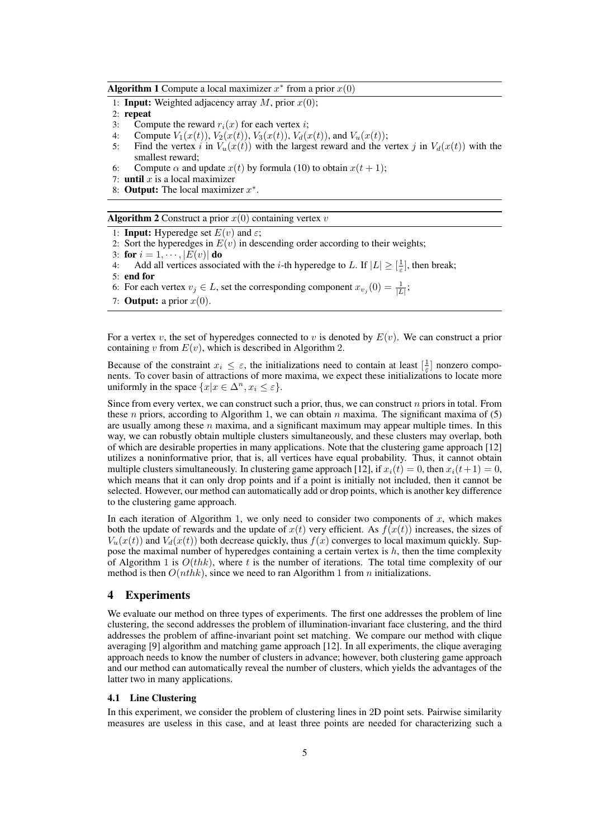Algorithm 1 Compute a local maximizer  $x^*$  from a prior  $x(0)$ 

- 1: **Input:** Weighted adjacency array  $M$ , prior  $x(0)$ ;
- 2: repeat
- 3: Compute the reward  $r_i(x)$  for each vertex *i*;
- 4: Compute  $V_1(x(t))$ ,  $V_2(x(t))$ ,  $V_3(x(t))$ ,  $V_d(x(t))$ , and  $V_u(x(t))$ ;
- 5: Find the vertex *i* in  $V_u(x(t))$  with the largest reward and the vertex *j* in  $V_d(x(t))$  with the smallest reward;
- 6: Compute  $\alpha$  and update  $x(t)$  by formula (10) to obtain  $x(t + 1)$ ;
- 7: **until**  $x$  is a local maximizer
- 8: Output: The local maximizer *x ∗* .

Algorithm 2 Construct a prior  $x(0)$  containing vertex  $v$ 

- 1: **Input:** Hyperedge set  $E(v)$  and  $\varepsilon$ ;
- 2: Sort the hyperedges in  $E(v)$  in descending order according to their weights;
- 3: for  $i = 1, \dots, |E(v)|$  do
- 4: Add all vertices associated with the *i*-th hyperedge to *L*. If  $|L| \geq \left[\frac{1}{\varepsilon}\right]$ , then break;

- 6: For each vertex  $v_j \in L$ , set the corresponding component  $x_{v_j}(0) = \frac{1}{|L|}$ ;
- 7: **Output:** a prior  $x(0)$ .

For a vertex *v*, the set of hyperedges connected to *v* is denoted by  $E(v)$ . We can construct a prior containing  $v$  from  $E(v)$ , which is described in Algorithm 2.

Because of the constraint  $x_i \leq \varepsilon$ , the initializations need to contain at least  $\left[\frac{1}{\varepsilon}\right]$  nonzero compo-**Exercise of the constraint**  $x_i \leq c$ , the initializations field to contain at reast  $\left[\frac{c}{c}\right]$  holizero components. To cover basin of attractions of more maxima, we expect these initializations to locate more uniformly in the space  $\{x | x \in \Delta^n, x_i \leq \varepsilon\}.$ 

Since from every vertex, we can construct such a prior, thus, we can construct *n* priors in total. From these *n* priors, according to Algorithm 1, we can obtain *n* maxima. The significant maxima of (5) are usually among these *n* maxima, and a significant maximum may appear multiple times. In this way, we can robustly obtain multiple clusters simultaneously, and these clusters may overlap, both of which are desirable properties in many applications. Note that the clustering game approach [12] utilizes a noninformative prior, that is, all vertices have equal probability. Thus, it cannot obtain multiple clusters simultaneously. In clustering game approach [12], if  $x_i(t) = 0$ , then  $x_i(t+1) = 0$ , which means that it can only drop points and if a point is initially not included, then it cannot be selected. However, our method can automatically add or drop points, which is another key difference to the clustering game approach.

In each iteration of Algorithm 1, we only need to consider two components of *x*, which makes both the update of rewards and the update of  $x(t)$  very efficient. As  $f(x(t))$  increases, the sizes of  $V_u(x(t))$  and  $V_d(x(t))$  both decrease quickly, thus  $f(x)$  converges to local maximum quickly. Suppose the maximal number of hyperedges containing a certain vertex is *h*, then the time complexity of Algorithm 1 is *O*(*thk*), where *t* is the number of iterations. The total time complexity of our method is then *O*(*nthk*), since we need to ran Algorithm 1 from *n* initializations.

# 4 Experiments

We evaluate our method on three types of experiments. The first one addresses the problem of line clustering, the second addresses the problem of illumination-invariant face clustering, and the third addresses the problem of affine-invariant point set matching. We compare our method with clique averaging [9] algorithm and matching game approach [12]. In all experiments, the clique averaging approach needs to know the number of clusters in advance; however, both clustering game approach and our method can automatically reveal the number of clusters, which yields the advantages of the latter two in many applications.

## 4.1 Line Clustering

In this experiment, we consider the problem of clustering lines in 2D point sets. Pairwise similarity measures are useless in this case, and at least three points are needed for characterizing such a

<sup>5:</sup> end for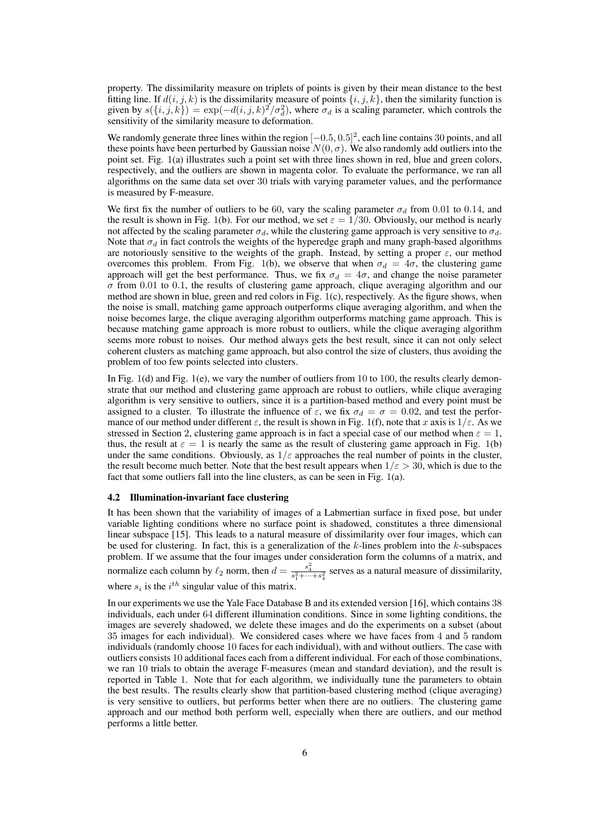property. The dissimilarity measure on triplets of points is given by their mean distance to the best fitting line. If  $d(i, j, k)$  is the dissimilarity measure of points  $\{i, j, k\}$ , then the similarity function is given by  $s({i, j, k}) = \exp(-d(i, j, k)^2/\sigma_d^2)$ , where  $\sigma_d$  is a scaling parameter, which controls the sensitivity of the similarity measure to deformation.

We randomly generate three lines within the region [*−*0*.*5*,* 0*.*5]<sup>2</sup> , each line contains 30 points, and all these points have been perturbed by Gaussian noise  $N(0, \sigma)$ . We also randomly add outliers into the point set. Fig. 1(a) illustrates such a point set with three lines shown in red, blue and green colors, respectively, and the outliers are shown in magenta color. To evaluate the performance, we ran all algorithms on the same data set over 30 trials with varying parameter values, and the performance is measured by F-measure.

We first fix the number of outliers to be 60, vary the scaling parameter  $\sigma_d$  from 0.01 to 0.14, and the result is shown in Fig. 1(b). For our method, we set  $\varepsilon = 1/30$ . Obviously, our method is nearly not affected by the scaling parameter  $\sigma_d$ , while the clustering game approach is very sensitive to  $\sigma_d$ . Note that  $\sigma_d$  in fact controls the weights of the hyperedge graph and many graph-based algorithms are notoriously sensitive to the weights of the graph. Instead, by setting a proper  $\varepsilon$ , our method overcomes this problem. From Fig. 1(b), we observe that when  $\sigma_d = 4\sigma$ , the clustering game approach will get the best performance. Thus, we fix  $\sigma_d = 4\sigma$ , and change the noise parameter *σ* from 0*.*01 to 0*.*1, the results of clustering game approach, clique averaging algorithm and our method are shown in blue, green and red colors in Fig. 1(c), respectively. As the figure shows, when the noise is small, matching game approach outperforms clique averaging algorithm, and when the noise becomes large, the clique averaging algorithm outperforms matching game approach. This is because matching game approach is more robust to outliers, while the clique averaging algorithm seems more robust to noises. Our method always gets the best result, since it can not only select coherent clusters as matching game approach, but also control the size of clusters, thus avoiding the problem of too few points selected into clusters.

In Fig. 1(d) and Fig. 1(e), we vary the number of outliers from 10 to 100, the results clearly demonstrate that our method and clustering game approach are robust to outliers, while clique averaging algorithm is very sensitive to outliers, since it is a partition-based method and every point must be assigned to a cluster. To illustrate the influence of  $\varepsilon$ , we fix  $\sigma_d = \sigma = 0.02$ , and test the performance of our method under different *ε*, the result is shown in Fig. 1(f), note that *x* axis is 1*/ε*. As we stressed in Section 2, clustering game approach is in fact a special case of our method when  $\varepsilon = 1$ , thus, the result at  $\varepsilon = 1$  is nearly the same as the result of clustering game approach in Fig. 1(b) under the same conditions. Obviously, as  $1/\varepsilon$  approaches the real number of points in the cluster, the result become much better. Note that the best result appears when  $1/\varepsilon > 30$ , which is due to the fact that some outliers fall into the line clusters, as can be seen in Fig. 1(a).

#### 4.2 Illumination-invariant face clustering

It has been shown that the variability of images of a Labmertian surface in fixed pose, but under variable lighting conditions where no surface point is shadowed, constitutes a three dimensional linear subspace [15]. This leads to a natural measure of dissimilarity over four images, which can be used for clustering. In fact, this is a generalization of the *k*-lines problem into the *k*-subspaces problem. If we assume that the four images under consideration form the columns of a matrix, and normalize each column by  $\ell_2$  norm, then  $d = \frac{s_4^2}{s_1^2 + \cdots + s_4^2}$  serves as a natural measure of dissimilarity, where  $s_i$  is the  $i^{th}$  singular value of this matrix.

In our experiments we use the Yale Face Database B and its extended version [16], which contains 38 individuals, each under 64 different illumination conditions. Since in some lighting conditions, the images are severely shadowed, we delete these images and do the experiments on a subset (about 35 images for each individual). We considered cases where we have faces from 4 and 5 random individuals (randomly choose 10 faces for each individual), with and without outliers. The case with outliers consists 10 additional faces each from a different individual. For each of those combinations, we ran 10 trials to obtain the average F-measures (mean and standard deviation), and the result is reported in Table 1. Note that for each algorithm, we individually tune the parameters to obtain the best results. The results clearly show that partition-based clustering method (clique averaging) is very sensitive to outliers, but performs better when there are no outliers. The clustering game approach and our method both perform well, especially when there are outliers, and our method performs a little better.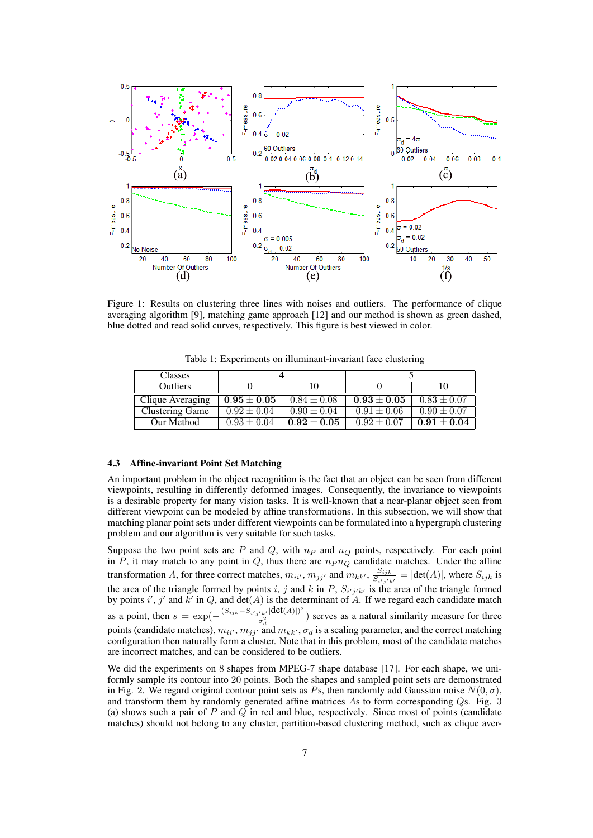

Figure 1: Results on clustering three lines with noises and outliers. The performance of clique averaging algorithm [9], matching game approach [12] and our method is shown as green dashed, blue dotted and read solid curves, respectively. This figure is best viewed in color.

| <b>Classes</b>         |                 |                 |                 |                 |
|------------------------|-----------------|-----------------|-----------------|-----------------|
| <b>Outliers</b>        |                 |                 |                 |                 |
| Clique Averaging       | $0.95\pm0.05$   | $0.84 \pm 0.08$ | $0.93\pm0.05$   | $0.83 \pm 0.07$ |
| <b>Clustering Game</b> | $0.92 \pm 0.04$ | $0.90 \pm 0.04$ | $0.91 \pm 0.06$ | $0.90 \pm 0.07$ |
| Our Method             | $0.93 \pm 0.04$ | $0.92\pm0.05$   | $0.92 \pm 0.07$ | $0.91 \pm 0.04$ |

Table 1: Experiments on illuminant-invariant face clustering

#### 4.3 Affine-invariant Point Set Matching

An important problem in the object recognition is the fact that an object can be seen from different viewpoints, resulting in differently deformed images. Consequently, the invariance to viewpoints is a desirable property for many vision tasks. It is well-known that a near-planar object seen from different viewpoint can be modeled by affine transformations. In this subsection, we will show that matching planar point sets under different viewpoints can be formulated into a hypergraph clustering problem and our algorithm is very suitable for such tasks.

Suppose the two point sets are *P* and *Q*, with  $n_P$  and  $n_Q$  points, respectively. For each point in *P*, it may match to any point in *Q*, thus there are  $n_{P}n_{Q}$  candidate matches. Under the affine transformation *A*, for three correct matches,  $m_{ii'}$ ,  $m_{jj'}$  and  $m_{kk'}$ ,  $\frac{S_{ijk'}}{S_{j'k'j'}}$  $\frac{S_{ijk}}{S_{i'j'k'}} = |\text{det}(A)|$ , where  $S_{ijk}$  is the area of the triangle formed by points *i*, *j* and *k* in *P*,  $S_i'_{j'k'}$  is the area of the triangle formed by points  $i'$ ,  $j'$  and  $k'$  in  $Q$ , and  $\det(A)$  is the determinant of  $A$ . If we regard each candidate match as a point, then  $s = \exp(-\frac{(S_{ijk} - S_{i'j'k'}|\text{det}(A)|)^2}{\sigma^2})$ *σ d*  $\frac{2}{2}$ ) serves as a natural similarity measure for three points (candidate matches),  $m_{ii'}$ ,  $m_{jj'}$  and  $m_{kk'}$ ,  $\sigma_d$  is a scaling parameter, and the correct matching configuration then naturally form a cluster. Note that in this problem, most of the candidate matches are incorrect matches, and can be considered to be outliers.

We did the experiments on 8 shapes from MPEG-7 shape database [17]. For each shape, we uniformly sample its contour into 20 points. Both the shapes and sampled point sets are demonstrated in Fig. 2. We regard original contour point sets as  $Ps$ , then randomly add Gaussian noise  $N(0, \sigma)$ , and transform them by randomly generated affine matrices *A*s to form corresponding *Q*s. Fig. 3 (a) shows such a pair of *P* and *Q* in red and blue, respectively. Since most of points (candidate matches) should not belong to any cluster, partition-based clustering method, such as clique aver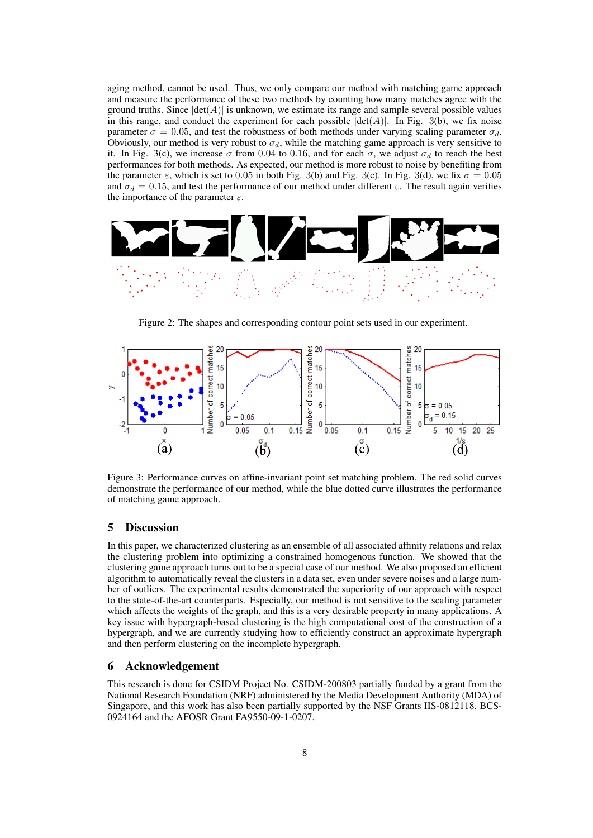aging method, cannot be used. Thus, we only compare our method with matching game approach and measure the performance of these two methods by counting how many matches agree with the ground truths. Since  $|\det(A)|$  is unknown, we estimate its range and sample several possible values in this range, and conduct the experiment for each possible  $|\text{det}(A)|$ . In Fig. 3(b), we fix noise parameter  $\sigma = 0.05$ , and test the robustness of both methods under varying scaling parameter  $\sigma_d$ . Obviously, our method is very robust to  $\sigma_d$ , while the matching game approach is very sensitive to it. In Fig. 3(c), we increase  $\sigma$  from 0.04 to 0.16, and for each  $\sigma$ , we adjust  $\sigma_d$  to reach the best performances for both methods. As expected, our method is more robust to noise by benefiting from the parameter  $\varepsilon$ , which is set to 0.05 in both Fig. 3(b) and Fig. 3(c). In Fig. 3(d), we fix  $\sigma = 0.05$ and  $\sigma_d = 0.15$ , and test the performance of our method under different  $\varepsilon$ . The result again verifies the importance of the parameter *ε*.



Figure 2: The shapes and corresponding contour point sets used in our experiment.



Figure 3: Performance curves on affine-invariant point set matching problem. The red solid curves demonstrate the performance of our method, while the blue dotted curve illustrates the performance of matching game approach.

# 5 Discussion

In this paper, we characterized clustering as an ensemble of all associated affinity relations and relax the clustering problem into optimizing a constrained homogenous function. We showed that the clustering game approach turns out to be a special case of our method. We also proposed an efficient algorithm to automatically reveal the clusters in a data set, even under severe noises and a large number of outliers. The experimental results demonstrated the superiority of our approach with respect to the state-of-the-art counterparts. Especially, our method is not sensitive to the scaling parameter which affects the weights of the graph, and this is a very desirable property in many applications. A key issue with hypergraph-based clustering is the high computational cost of the construction of a hypergraph, and we are currently studying how to efficiently construct an approximate hypergraph and then perform clustering on the incomplete hypergraph.

### 6 Acknowledgement

This research is done for CSIDM Project No. CSIDM-200803 partially funded by a grant from the National Research Foundation (NRF) administered by the Media Development Authority (MDA) of Singapore, and this work has also been partially supported by the NSF Grants IIS-0812118, BCS-0924164 and the AFOSR Grant FA9550-09-1-0207.